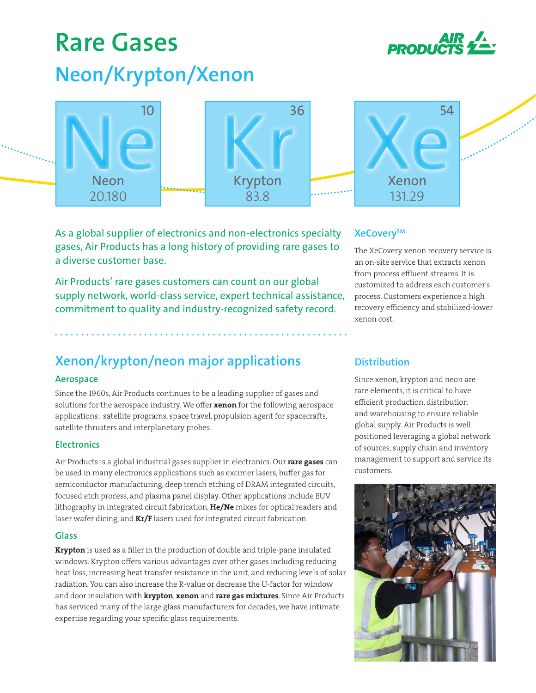# **Rare Gases Neon/Krypton/Xenon**





As a global supplier of electronics and non-electronics specialty gases, Air Products has a long history of providing rare gases to a diverse customer base.

Air Products' rare gases customers can count on our global supply network, world-class service, expert technical assistance, commitment to quality and industry-recognized safety record.

# **XeCoverySM**

The XeCovery xenon recovery service is an on-site service that extracts xenon from process effluent streams. It is customized to address each customer's process. Customers experience a high recovery efficiency and stabilized-lower xenon cost.

# **Xenon/krypton/neon major applications**

## **Aerospace**

Since the 1960s, Air Products continues to be a leading supplier of gases and solutions for the aerospace industry. We offer xenon for the following aerospace applications: satellite programs, space travel, propulsion agent for spacecrafts, satellite thrusters and interplanetary probes.

## **Electronics**

Air Products is a global industrial gases supplier in electronics. Our rare gases can be used in many electronics applications such as excimer lasers, buffer gas for semiconductor manufacturing, deep trench etching of DRAM integrated circuits, focused etch process, and plasma panel display. Other applications include EUV lithography in integrated circuit fabrication, He/Ne mixes for optical readers and laser wafer dicing, and  $\text{Kr/F}$  lasers used for integrated circuit fabrication.

## **Glass**

Krypton is used as a filler in the production of double and triple-pane insulated windows. Krypton offers various advantages over other gases including reducing heat loss, increasing heat transfer resistance in the unit, and reducing levels of solar radiation. You can also increase the R-value or decrease the U-factor for window and door insulation with krypton, xenon and rare gas mixtures. Since Air Products has serviced many of the large glass manufacturers for decades, we have intimate expertise regarding your specific glass requirements.

# **Distribution**

Since xenon, krypton and neon are rare elements, it is critical to have efficient production, distribution and warehousing to ensure reliable global supply. Air Products is well positioned leveraging a global network of sources, supply chain and inventory management to support and service its customers.